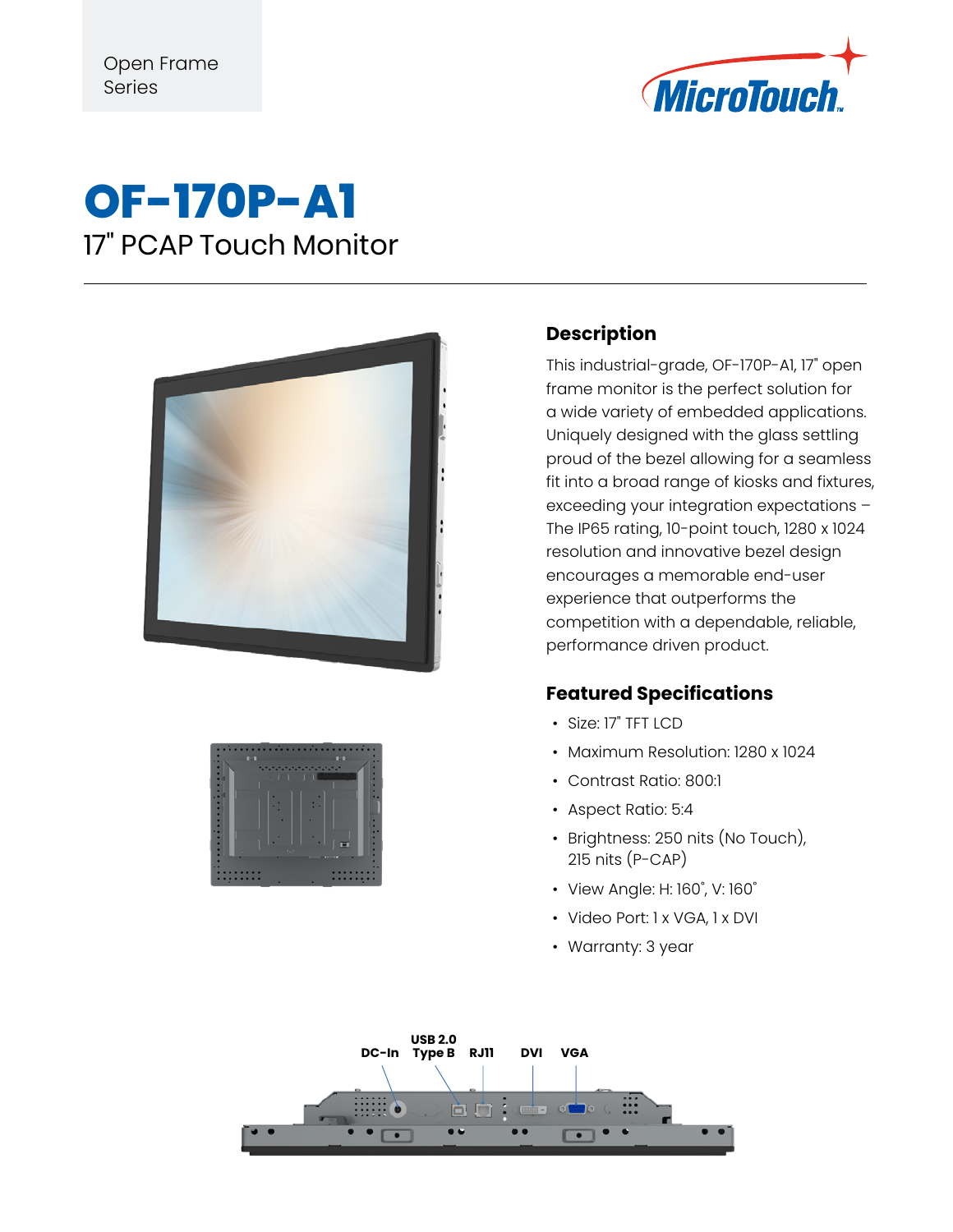

## **OF-170P-A1** 17" PCAP Touch Monitor





## **Description**

This industrial-grade, OF-170P-A1, 17" open frame monitor is the perfect solution for a wide variety of embedded applications. Uniquely designed with the glass settling proud of the bezel allowing for a seamless fit into a broad range of kiosks and fixtures, exceeding your integration expectations – The IP65 rating, 10-point touch, 1280 x 1024 resolution and innovative bezel design encourages a memorable end-user experience that outperforms the competition with a dependable, reliable, performance driven product.

## **Featured Specifications**

- Size: 17" TFT LCD
- Maximum Resolution: 1280 x 1024
- Contrast Ratio: 800:1
- Aspect Ratio: 5:4
- Brightness: 250 nits (No Touch), 215 nits (P-CAP)
- View Angle: H: 160˚, V: 160˚
- Video Port: 1 x VGA, 1 x DVI
- Warranty: 3 year